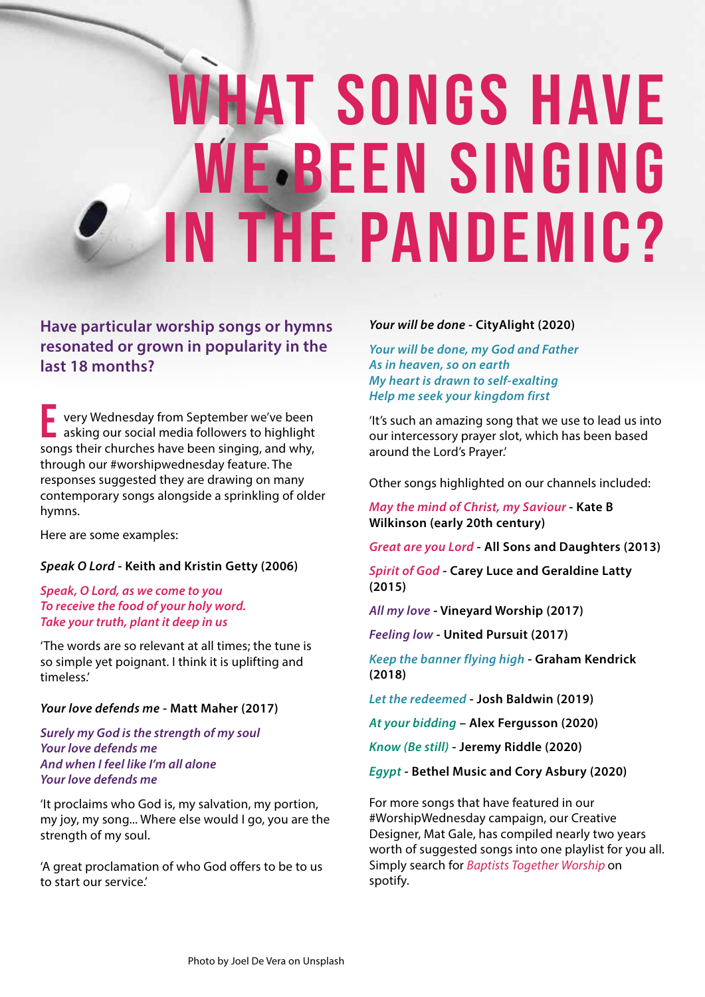# WHAT SONGS HAVE WE-BEEN SINGING in the pandemic?

### **Have particular worship songs or hymns resonated or grown in popularity in the last 18 months?**

very Wednesday from September we've been asking our social media followers to highlight songs their churches have been singing, and why, through our #worshipwednesday feature. The responses suggested they are drawing on many contemporary songs alongside a sprinkling of older hymns. E

Here are some examples:

#### *Speak O Lord* **- Keith and Kristin Getty (2006)**

#### *Speak, O Lord, as we come to you To receive the food of your holy word. Take your truth, plant it deep in us*

'The words are so relevant at all times; the tune is so simple yet poignant. I think it is uplifting and timeless.'

#### *Your love defends me* **- Matt Maher (2017)**

*Surely my God is the strength of my soul Your love defends me And when I feel like I'm all alone Your love defends me*

'It proclaims who God is, my salvation, my portion, my joy, my song... Where else would I go, you are the strength of my soul.

'A great proclamation of who God offers to be to us to start our service.'

#### *Your will be done* **- CityAlight (2020)**

*Your will be done, my God and Father As in heaven, so on earth My heart is drawn to self-exalting Help me seek your kingdom first*

'It's such an amazing song that we use to lead us into our intercessory prayer slot, which has been based around the Lord's Prayer.'

Other songs highlighted on our channels included:

*May the mind of Christ, my Saviour* **- Kate B Wilkinson (early 20th century)**

*Great are you Lord* **- All Sons and Daughters (2013)**

*Spirit of God* **- Carey Luce and Geraldine Latty (2015)**

*All my love* **- Vineyard Worship (2017)**

*Feeling low* **- United Pursuit (2017)**

*Keep the banner flying high* **- Graham Kendrick (2018)**

*Let the redeemed* **- Josh Baldwin (2019)**

*At your bidding* **– Alex Fergusson (2020)**

*Know (Be still)* **- Jeremy Riddle (2020)**

*Egypt* **- Bethel Music and Cory Asbury (2020)**

For more songs that have featured in our #WorshipWednesday campaign, our Creative Designer, Mat Gale, has compiled nearly two years worth of suggested songs into one playlist for you all. Simply search for *Baptists Together Worship* on spotify.